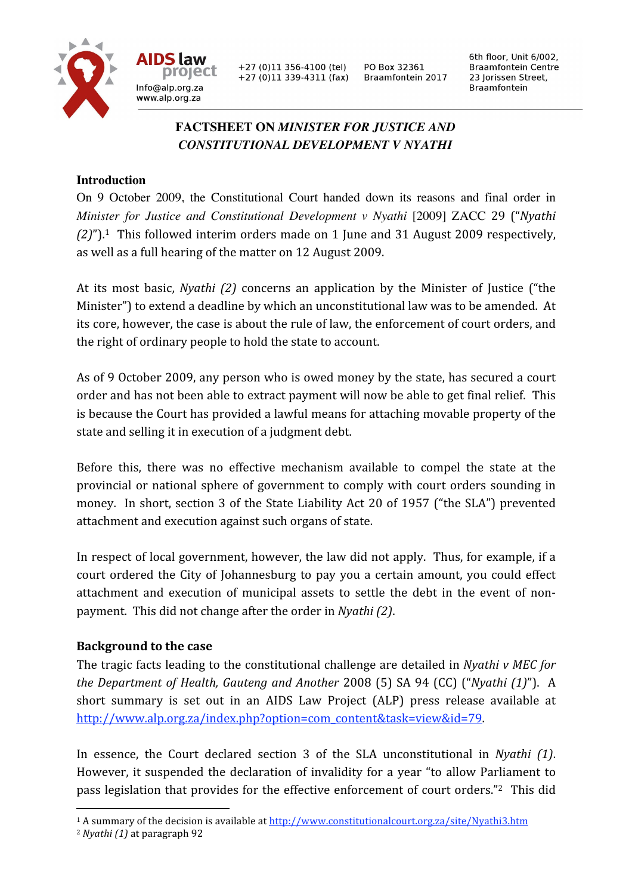

+27 (0)11 356-4100 (tel)  $+27(0)11339-4311(fax)$  PO Box 32361 Braamfontein 2017 6th floor, Unit 6/002, **Braamfontein Centre** 23 Jorissen Street, **Braamfontein** 

# **FACTSHEET ON** *MINISTER FOR JUSTICE AND CONSTITUTIONAL DEVELOPMENT V NYATHI*

## **Introduction**

Info@alp.org.za

www.alp.org.za

On 9 October 2009, the Constitutional Court handed down its reasons and final order in *Minister for Justice and Constitutional Development v Nyathi* [2009] ZACC 29 ("*Nyathi*  (2)").<sup>1</sup> This followed interim orders made on 1 June and 31 August 2009 respectively, as
well
as
a
full
hearing
of
the
matter
on
12
August
2009.

At its most basic, *Nyathi (2)* concerns an application by the Minister of Justice ("the Minister") to extend a deadline by which an unconstitutional law was to be amended. At its
core,
however,
the
case
is
about
the
rule
of
law,
the
enforcement
of
court
orders,
and the
right
of
ordinary
people
to
hold
the
state
to
account.

As
of
9
October
2009,
any
person
who
is
owed
money
by
the
state,
has
secured
a
court order
and
has
not
been
able
to
extract
payment
will
now
be
able
to
get
final
relief. This is
because
the
Court
has
provided
a
lawful
means
for
attaching movable
property of
the state
and
selling
it
in
execution
of
a
judgment
debt.

Before this, there was no effective mechanism available to compel the state at the provincial
or
national sphere
of
government
to comply
with court
orders sounding
in money. In short, section 3 of the State Liability Act 20 of 1957 ("the SLA") prevented attachment
and
execution
against
such
organs
of
state.

In respect of local government, however, the law did not apply. Thus, for example, if a court
ordered
the
City
of
Johannesburg
to
pay
you
a certain
amount, you could
effect attachment and execution of municipal assets to settle the debt in the event of nonpayment.

This
did
not
change
after
the
order
in *Nyathi
(2)*.

### **Background
to
the
case**

The tragic facts leading to the constitutional challenge are detailed in Nyathi v MEC for *the Department of Health, Gauteng and Another* 2008 (5) SA 94 (CC) ("*Nyathi (1)*"). A short summary is set out in an AIDS Law Project (ALP) press release available at http://www.alp.org.za/index.php?option=com\_content&task=view&id=79.

In essence, the Court declared section 3 of the SLA unconstitutional in *Nyathi (1)*. However,
it suspended
the
declaration
of
invalidity
for
a year
"to
allow
Parliament
to pass
legislation
that
provides
for
the
effective
enforcement
of
court
orders."2 This
did

 $\overline{a}$ 

<sup>1</sup> A summary of the decision is available at http://www.constitutionalcourt.org.za/site/Nyathi3.htm

<sup>2</sup> *Nyathi (1)* at paragraph 92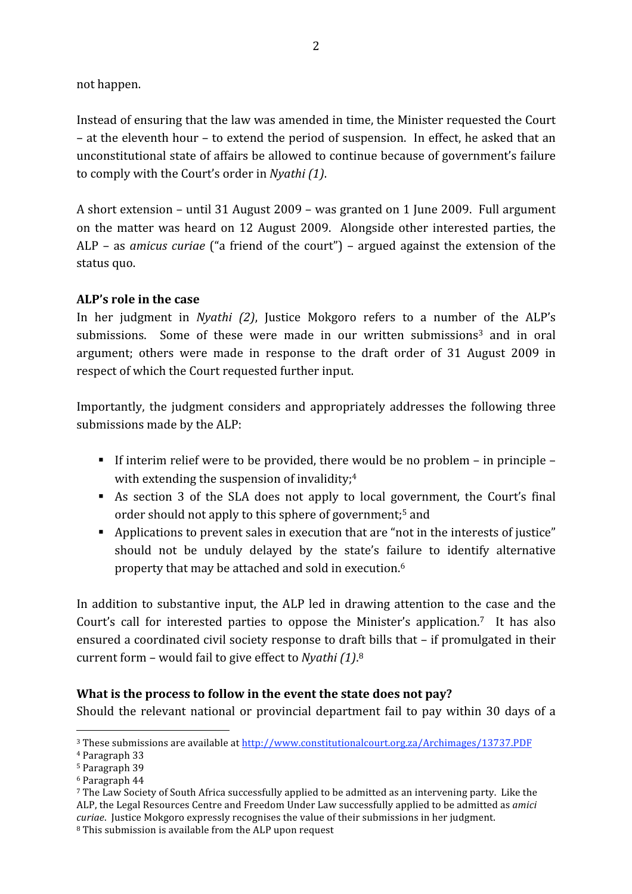not
happen.

Instead
of
ensuring
that
the
law
was
amended
in
time,
the
Minister
requested
the
Court – at the eleventh hour – to extend the period of suspension. In effect, he asked that an unconstitutional
state
of
affairs
be
allowed
to
continue
because
of
government's
failure to
comply
with
the
Court's
order
in *Nyathi
(1)*.

A
short
extension
– until
31
August
2009
– was
granted
on
1
June
2009. Full
argument on
the
matter
was
heard
on
12
August
2009. Alongside other
interested parties,
the ALP - as *amicus curiae* ("a friend of the court") - argued against the extension of the status
quo.

## **ALP's
role
in
the
case**

In her judgment in *Nyathi (2)*, Justice Mokgoro refers to a number of the ALP's submissions. Some of these were made in our written submissions<sup>3</sup> and in oral argument; others were made in response to the draft order of 31 August 2009 in respect
of
which
the
Court
requested
further
input.

Importantly, the judgment considers and appropriately addresses the following three submissions
made
by
the
ALP:

- If interim relief were to be provided, there would be no problem in principle with extending the suspension of invalidity;<sup>4</sup>
- As section 3 of the SLA does not apply to local government, the Court's final order should not apply to this sphere of government;<sup>5</sup> and
- Applications to prevent sales in execution that are "not in the interests of justice" should not be unduly delayed by the state's failure to identify alternative property that may be attached and sold in execution.<sup>6</sup>

In addition to substantive input, the ALP led in drawing attention to the case and the Court's call for interested parties to oppose the Minister's application.<sup>7</sup> It has also ensured a coordinated civil society response to draft bills that - if promulgated in their current
form
–
would
fail
to
give
effect
to *Nyathi
(1)*. 8

## What is the process to follow in the event the state does not pay?

Should the relevant national or provincial department fail to pay within 30 days of a

 $\overline{a}$ 

<sup>3</sup> These submissions are available at http://www.constitutionalcourt.org.za/Archimages/13737.PDF

<sup>4</sup> Paragraph 33

<sup>5</sup> Paragraph 39

<sup>6</sup> Paragraph 44

<sup>7</sup> The Law Society of South Africa successfully applied to be admitted as an intervening party. Like the ALP, the Legal Resources Centre and Freedom Under Law successfully applied to be admitted as *amici curiae*. Justice Mokgoro expressly recognises the value of their submissions in her judgment.

<sup>8</sup> This submission is available from the ALP upon request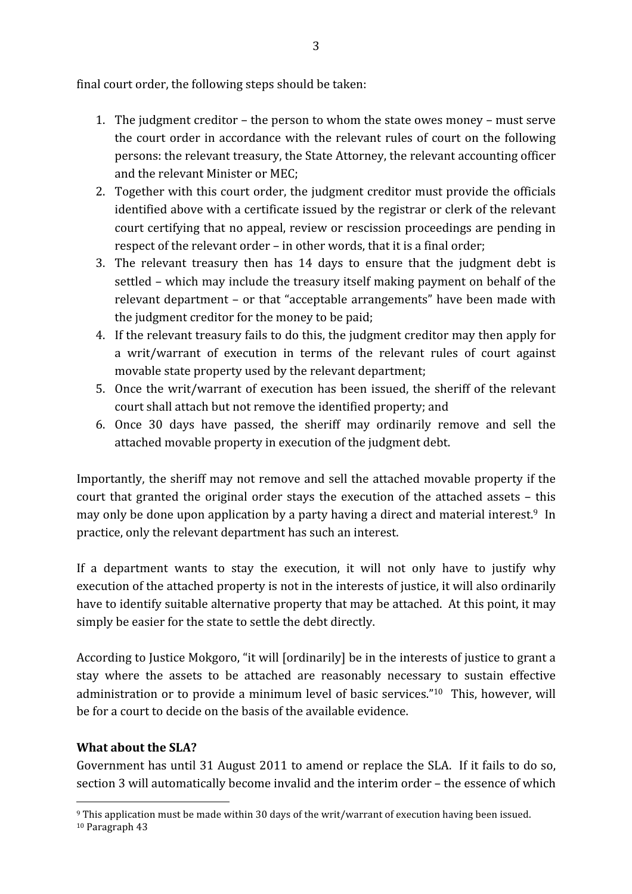final
court
order,
the
following
steps
should
be
taken:

- 1. The
judgment
creditor
 the
person
to
whom
the
state
owes
money
 must
serve the
court
order
in
accordance
with
the relevant rules
of
court
on
the
following persons: the
relevant
treasury,
the
State
Attorney,
the
relevant
accounting
officer and
the
relevant
Minister
or
MEC;
- 2. Together with this court order, the judgment creditor must provide the officials identified above with a certificate issued by the registrar or clerk of the relevant court
certifying
that
no
appeal,
review
or
rescission
proceedings
are
pending
in respect of the relevant order – in other words, that it is a final order;
- 3. The relevant treasury then has 14 days to ensure that the judgment debt is settled – which may
include
the
treasury
itself
making
payment
on
behalf
of
the relevant department – or that "acceptable arrangements" have been made with the
judgment
creditor
for
the
money
to
be
paid;
- 4. If
the
relevant
treasury
fails
to
do
this,
the
judgment
creditor
may
then
apply
for a writ/warrant of execution in terms of the relevant rules of court against movable
state
property used
by
the
relevant
department;
- 5. Once
the
writ/warrant
of
execution
has
been
issued,
the sheriff
of
the relevant court
shall
attach
but
not
remove
the
identified
property;
and
- 6. Once 30 days have passed, the sheriff may ordinarily remove and sell the attached
movable
property
in
execution
of
the
judgment
debt.

Importantly, the sheriff may not remove and sell the attached movable property if the court
that granted
the
original
order stays
the execution
of
the attached assets – this may only be done upon application by a party having a direct and material interest.<sup>9</sup> In practice,
only
the
relevant
department
has
such
an
interest.

If a department wants to stay the execution, it will not only have to justify why execution of the attached property is not in the interests of justice, it will also ordinarily have to identify suitable alternative property that may be attached. At this point, it may simply be easier for the state to settle the debt directly.

According to Justice Mokgoro, "it will [ordinarily] be in the interests of justice to grant a stay where the assets to be attached are reasonably necessary to sustain effective administration or to provide a minimum level of basic services."<sup>10</sup> This, however, will be
for
a
court
to
decide
on
the
basis
of
the
available
evidence.

## **What
about
the
SLA?**

 $\overline{a}$ 

Government has until 31 August 2011 to amend or replace the SLA. If it fails to do so, section
3
will
automatically
become
invalid
and
the
interim
order
– the
essence
of
which

<sup>9</sup> This application must be made within 30 days of the writ/warrant of execution having been issued. <sup>10</sup> Paragraph 43